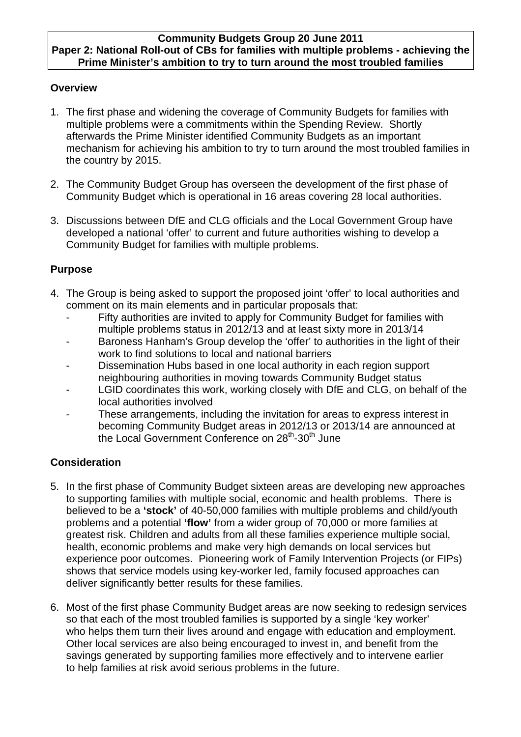#### **Community Budgets Group 20 June 2011 Paper 2: National Roll-out of CBs for families with multiple problems - achieving the Prime Minister's ambition to try to turn around the most troubled families**

### **Overview**

- 1. The first phase and widening the coverage of Community Budgets for families with multiple problems were a commitments within the Spending Review. Shortly afterwards the Prime Minister identified Community Budgets as an important mechanism for achieving his ambition to try to turn around the most troubled families in the country by 2015.
- 2. The Community Budget Group has overseen the development of the first phase of Community Budget which is operational in 16 areas covering 28 local authorities.
- 3. Discussions between DfE and CLG officials and the Local Government Group have developed a national 'offer' to current and future authorities wishing to develop a Community Budget for families with multiple problems.

### **Purpose**

- 4. The Group is being asked to support the proposed joint 'offer' to local authorities and comment on its main elements and in particular proposals that:
	- Fifty authorities are invited to apply for Community Budget for families with multiple problems status in 2012/13 and at least sixty more in 2013/14
	- Baroness Hanham's Group develop the 'offer' to authorities in the light of their work to find solutions to local and national barriers
	- Dissemination Hubs based in one local authority in each region support neighbouring authorities in moving towards Community Budget status
	- LGID coordinates this work, working closely with DfE and CLG, on behalf of the local authorities involved
	- These arrangements, including the invitation for areas to express interest in becoming Community Budget areas in 2012/13 or 2013/14 are announced at the Local Government Conference on 28<sup>th</sup>-30<sup>th</sup> June

### **Consideration**

- 5. In the first phase of Community Budget sixteen areas are developing new approaches to supporting families with multiple social, economic and health problems. There is believed to be a **'stock'** of 40-50,000 families with multiple problems and child/youth problems and a potential **'flow'** from a wider group of 70,000 or more families at greatest risk. Children and adults from all these families experience multiple social, health, economic problems and make very high demands on local services but experience poor outcomes. Pioneering work of Family Intervention Projects (or FIPs) shows that service models using key-worker led, family focused approaches can deliver significantly better results for these families.
- 6. Most of the first phase Community Budget areas are now seeking to redesign services so that each of the most troubled families is supported by a single 'key worker' who helps them turn their lives around and engage with education and employment. Other local services are also being encouraged to invest in, and benefit from the savings generated by supporting families more effectively and to intervene earlier to help families at risk avoid serious problems in the future.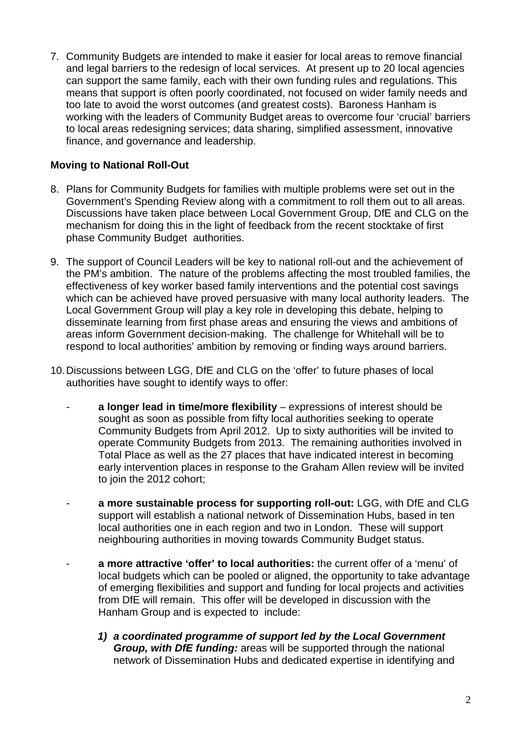7. Community Budgets are intended to make it easier for local areas to remove financial and legal barriers to the redesign of local services. At present up to 20 local agencies can support the same family, each with their own funding rules and regulations. This means that support is often poorly coordinated, not focused on wider family needs and too late to avoid the worst outcomes (and greatest costs). Baroness Hanham is working with the leaders of Community Budget areas to overcome four 'crucial' barriers to local areas redesigning services; data sharing, simplified assessment, innovative finance, and governance and leadership.

### **Moving to National Roll-Out**

- 8. Plans for Community Budgets for families with multiple problems were set out in the Government's Spending Review along with a commitment to roll them out to all areas. Discussions have taken place between Local Government Group, DfE and CLG on the mechanism for doing this in the light of feedback from the recent stocktake of first phase Community Budget authorities.
- 9. The support of Council Leaders will be key to national roll-out and the achievement of the PM's ambition. The nature of the problems affecting the most troubled families, the effectiveness of key worker based family interventions and the potential cost savings which can be achieved have proved persuasive with many local authority leaders. The Local Government Group will play a key role in developing this debate, helping to disseminate learning from first phase areas and ensuring the views and ambitions of areas inform Government decision-making. The challenge for Whitehall will be to respond to local authorities' ambition by removing or finding ways around barriers.
- 10. Discussions between LGG, DfE and CLG on the 'offer' to future phases of local authorities have sought to identify ways to offer:
	- a longer lead in time/more flexibility expressions of interest should be sought as soon as possible from fifty local authorities seeking to operate Community Budgets from April 2012. Up to sixty authorities will be invited to operate Community Budgets from 2013. The remaining authorities involved in Total Place as well as the 27 places that have indicated interest in becoming early intervention places in response to the Graham Allen review will be invited to join the 2012 cohort;
	- **a more sustainable process for supporting roll-out:** LGG, with DfE and CLG support will establish a national network of Dissemination Hubs, based in ten local authorities one in each region and two in London. These will support neighbouring authorities in moving towards Community Budget status.
	- **a more attractive 'offer' to local authorities:** the current offer of a 'menu' of local budgets which can be pooled or aligned, the opportunity to take advantage of emerging flexibilities and support and funding for local projects and activities from DfE will remain. This offer will be developed in discussion with the Hanham Group and is expected to include:
		- *1) a coordinated programme of support led by the Local Government Group, with DfE funding:* areas will be supported through the national network of Dissemination Hubs and dedicated expertise in identifying and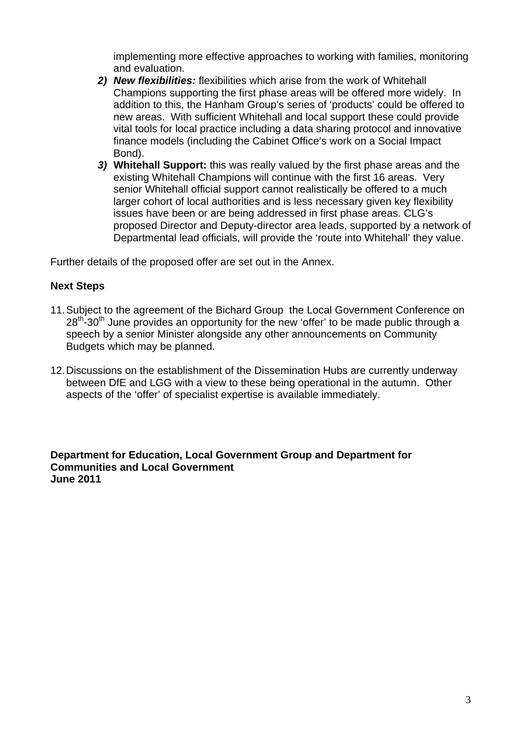implementing more effective approaches to working with families, monitoring and evaluation.

- *2) New flexibilities:* flexibilities which arise from the work of Whitehall Champions supporting the first phase areas will be offered more widely. In addition to this, the Hanham Group's series of 'products' could be offered to new areas. With sufficient Whitehall and local support these could provide vital tools for local practice including a data sharing protocol and innovative finance models (including the Cabinet Office's work on a Social Impact Bond).
- *3)* **Whitehall Support:** this was really valued by the first phase areas and the existing Whitehall Champions will continue with the first 16 areas. Very senior Whitehall official support cannot realistically be offered to a much larger cohort of local authorities and is less necessary given key flexibility issues have been or are being addressed in first phase areas. CLG's proposed Director and Deputy-director area leads, supported by a network of Departmental lead officials, will provide the 'route into Whitehall' they value.

Further details of the proposed offer are set out in the Annex.

#### **Next Steps**

- 11. Subject to the agreement of the Bichard Group the Local Government Conference on 28<sup>th</sup>-30<sup>th</sup> June provides an opportunity for the new 'offer' to be made public through a speech by a senior Minister alongside any other announcements on Community Budgets which may be planned.
- 12. Discussions on the establishment of the Dissemination Hubs are currently underway between DfE and LGG with a view to these being operational in the autumn. Other aspects of the 'offer' of specialist expertise is available immediately.

**Department for Education, Local Government Group and Department for Communities and Local Government June 2011**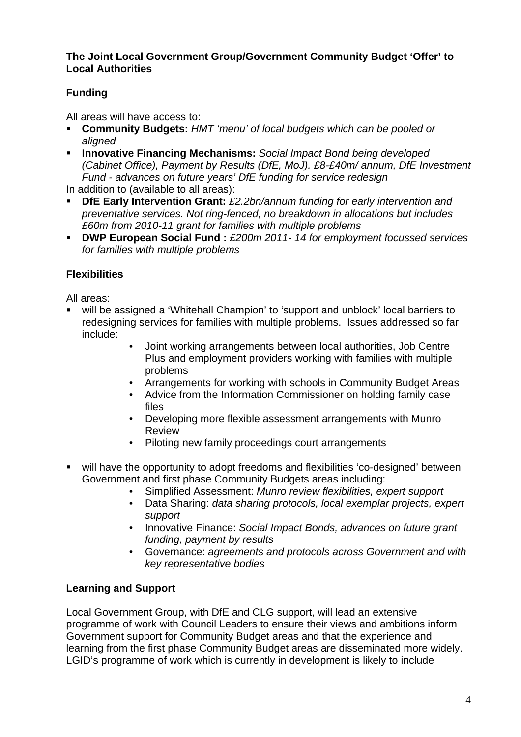#### **The Joint Local Government Group/Government Community Budget 'Offer' to Local Authorities**

# **Funding**

All areas will have access to:

- **Community Budgets:** *HMT 'menu' of local budgets which can be pooled or aligned*
- **Innovative Financing Mechanisms:** *Social Impact Bond being developed (Cabinet Office), Payment by Results (DfE, MoJ). £8-£40m/ annum, DfE Investment Fund - advances on future years' DfE funding for service redesign*
- In addition to (available to all areas):
- **DfE Early Intervention Grant:** *£2.2bn/annum funding for early intervention and preventative services. Not ring-fenced, no breakdown in allocations but includes £60m from 2010-11 grant for families with multiple problems*
- **DWP European Social Fund :** *£200m 2011- 14 for employment focussed services for families with multiple problems*

# **Flexibilities**

All areas:

- will be assigned a 'Whitehall Champion' to 'support and unblock' local barriers to redesigning services for families with multiple problems. Issues addressed so far include:
	- Joint working arrangements between local authorities, Job Centre Plus and employment providers working with families with multiple problems
	- Arrangements for working with schools in Community Budget Areas
	- Advice from the Information Commissioner on holding family case files
	- Developing more flexible assessment arrangements with Munro Review
	- Piloting new family proceedings court arrangements
- will have the opportunity to adopt freedoms and flexibilities 'co-designed' between Government and first phase Community Budgets areas including:
	- Simplified Assessment: *Munro review flexibilities, expert support*
	- Data Sharing: *data sharing protocols, local exemplar projects, expert support*
	- Innovative Finance: *Social Impact Bonds, advances on future grant funding, payment by results*
	- Governance: *agreements and protocols across Government and with key representative bodies*

# **Learning and Support**

Local Government Group, with DfE and CLG support, will lead an extensive programme of work with Council Leaders to ensure their views and ambitions inform Government support for Community Budget areas and that the experience and learning from the first phase Community Budget areas are disseminated more widely. LGID's programme of work which is currently in development is likely to include